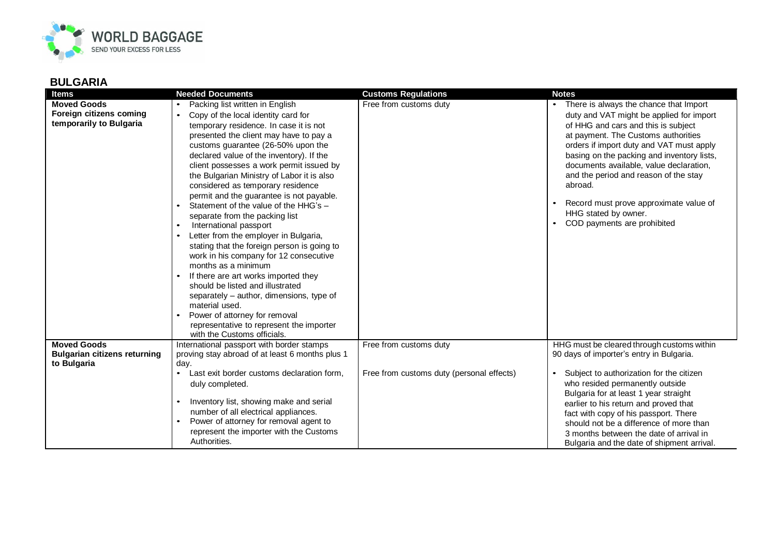

| <b>Items</b>                                                             | <b>Needed Documents</b>                                                                                                                                                                                                                                                                                                                                                                                                                                                                                                                                                                                                                                                                                                                                                                                                                                                                                                                                                            | <b>Customs Regulations</b>                | <b>Notes</b>                                                                                                                                                                                                                                                                                                                                                                                                                                               |
|--------------------------------------------------------------------------|------------------------------------------------------------------------------------------------------------------------------------------------------------------------------------------------------------------------------------------------------------------------------------------------------------------------------------------------------------------------------------------------------------------------------------------------------------------------------------------------------------------------------------------------------------------------------------------------------------------------------------------------------------------------------------------------------------------------------------------------------------------------------------------------------------------------------------------------------------------------------------------------------------------------------------------------------------------------------------|-------------------------------------------|------------------------------------------------------------------------------------------------------------------------------------------------------------------------------------------------------------------------------------------------------------------------------------------------------------------------------------------------------------------------------------------------------------------------------------------------------------|
| <b>Moved Goods</b><br>Foreign citizens coming<br>temporarily to Bulgaria | Packing list written in English<br>Copy of the local identity card for<br>$\bullet$<br>temporary residence. In case it is not<br>presented the client may have to pay a<br>customs guarantee (26-50% upon the<br>declared value of the inventory). If the<br>client possesses a work permit issued by<br>the Bulgarian Ministry of Labor it is also<br>considered as temporary residence<br>permit and the guarantee is not payable.<br>Statement of the value of the HHG's -<br>separate from the packing list<br>International passport<br>$\bullet$<br>Letter from the employer in Bulgaria,<br>$\bullet$<br>stating that the foreign person is going to<br>work in his company for 12 consecutive<br>months as a minimum<br>If there are art works imported they<br>should be listed and illustrated<br>separately – author, dimensions, type of<br>material used.<br>Power of attorney for removal<br>representative to represent the importer<br>with the Customs officials. | Free from customs duty                    | There is always the chance that Import<br>duty and VAT might be applied for import<br>of HHG and cars and this is subject<br>at payment. The Customs authorities<br>orders if import duty and VAT must apply<br>basing on the packing and inventory lists,<br>documents available, value declaration,<br>and the period and reason of the stay<br>abroad.<br>Record must prove approximate value of<br>HHG stated by owner.<br>COD payments are prohibited |
| <b>Moved Goods</b>                                                       | International passport with border stamps                                                                                                                                                                                                                                                                                                                                                                                                                                                                                                                                                                                                                                                                                                                                                                                                                                                                                                                                          | Free from customs duty                    | HHG must be cleared through customs within                                                                                                                                                                                                                                                                                                                                                                                                                 |
| <b>Bulgarian citizens returning</b><br>to Bulgaria                       | proving stay abroad of at least 6 months plus 1<br>day.                                                                                                                                                                                                                                                                                                                                                                                                                                                                                                                                                                                                                                                                                                                                                                                                                                                                                                                            |                                           | 90 days of importer's entry in Bulgaria.                                                                                                                                                                                                                                                                                                                                                                                                                   |
|                                                                          | Last exit border customs declaration form,<br>$\bullet$                                                                                                                                                                                                                                                                                                                                                                                                                                                                                                                                                                                                                                                                                                                                                                                                                                                                                                                            | Free from customs duty (personal effects) | Subject to authorization for the citizen                                                                                                                                                                                                                                                                                                                                                                                                                   |
|                                                                          | duly completed.                                                                                                                                                                                                                                                                                                                                                                                                                                                                                                                                                                                                                                                                                                                                                                                                                                                                                                                                                                    |                                           | who resided permanently outside                                                                                                                                                                                                                                                                                                                                                                                                                            |
|                                                                          | Inventory list, showing make and serial                                                                                                                                                                                                                                                                                                                                                                                                                                                                                                                                                                                                                                                                                                                                                                                                                                                                                                                                            |                                           | Bulgaria for at least 1 year straight<br>earlier to his return and proved that                                                                                                                                                                                                                                                                                                                                                                             |
|                                                                          | number of all electrical appliances.                                                                                                                                                                                                                                                                                                                                                                                                                                                                                                                                                                                                                                                                                                                                                                                                                                                                                                                                               |                                           | fact with copy of his passport. There                                                                                                                                                                                                                                                                                                                                                                                                                      |
|                                                                          | Power of attorney for removal agent to                                                                                                                                                                                                                                                                                                                                                                                                                                                                                                                                                                                                                                                                                                                                                                                                                                                                                                                                             |                                           | should not be a difference of more than                                                                                                                                                                                                                                                                                                                                                                                                                    |
|                                                                          | represent the importer with the Customs<br>Authorities.                                                                                                                                                                                                                                                                                                                                                                                                                                                                                                                                                                                                                                                                                                                                                                                                                                                                                                                            |                                           | 3 months between the date of arrival in                                                                                                                                                                                                                                                                                                                                                                                                                    |
|                                                                          |                                                                                                                                                                                                                                                                                                                                                                                                                                                                                                                                                                                                                                                                                                                                                                                                                                                                                                                                                                                    |                                           | Bulgaria and the date of shipment arrival.                                                                                                                                                                                                                                                                                                                                                                                                                 |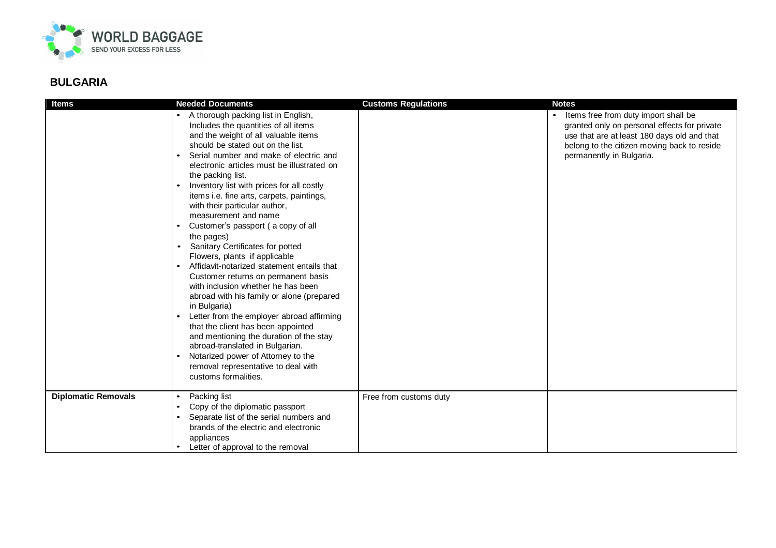

| <b>Items</b>               | <b>Needed Documents</b>                                                                                                                                                                                                                                                                                                                                                                                                                                                                                                                                                                                                                                                                                                                                                                                                                                                                                                                                                                                                                                                          | <b>Customs Regulations</b> | <b>Notes</b>                                                                                                                                                                                                   |
|----------------------------|----------------------------------------------------------------------------------------------------------------------------------------------------------------------------------------------------------------------------------------------------------------------------------------------------------------------------------------------------------------------------------------------------------------------------------------------------------------------------------------------------------------------------------------------------------------------------------------------------------------------------------------------------------------------------------------------------------------------------------------------------------------------------------------------------------------------------------------------------------------------------------------------------------------------------------------------------------------------------------------------------------------------------------------------------------------------------------|----------------------------|----------------------------------------------------------------------------------------------------------------------------------------------------------------------------------------------------------------|
|                            | A thorough packing list in English,<br>Includes the quantities of all items<br>and the weight of all valuable items<br>should be stated out on the list.<br>Serial number and make of electric and<br>$\bullet$<br>electronic articles must be illustrated on<br>the packing list.<br>Inventory list with prices for all costly<br>items i.e. fine arts, carpets, paintings,<br>with their particular author,<br>measurement and name<br>Customer's passport (a copy of all<br>$\bullet$<br>the pages)<br>Sanitary Certificates for potted<br>Flowers, plants if applicable<br>Affidavit-notarized statement entails that<br>$\bullet$<br>Customer returns on permanent basis<br>with inclusion whether he has been<br>abroad with his family or alone (prepared<br>in Bulgaria)<br>Letter from the employer abroad affirming<br>$\bullet$<br>that the client has been appointed<br>and mentioning the duration of the stay<br>abroad-translated in Bulgarian.<br>Notarized power of Attorney to the<br>$\bullet$<br>removal representative to deal with<br>customs formalities. |                            | Items free from duty import shall be<br>granted only on personal effects for private<br>use that are at least 180 days old and that<br>belong to the citizen moving back to reside<br>permanently in Bulgaria. |
| <b>Diplomatic Removals</b> | Packing list                                                                                                                                                                                                                                                                                                                                                                                                                                                                                                                                                                                                                                                                                                                                                                                                                                                                                                                                                                                                                                                                     | Free from customs duty     |                                                                                                                                                                                                                |
|                            | Copy of the diplomatic passport                                                                                                                                                                                                                                                                                                                                                                                                                                                                                                                                                                                                                                                                                                                                                                                                                                                                                                                                                                                                                                                  |                            |                                                                                                                                                                                                                |
|                            | Separate list of the serial numbers and<br>brands of the electric and electronic                                                                                                                                                                                                                                                                                                                                                                                                                                                                                                                                                                                                                                                                                                                                                                                                                                                                                                                                                                                                 |                            |                                                                                                                                                                                                                |
|                            | appliances                                                                                                                                                                                                                                                                                                                                                                                                                                                                                                                                                                                                                                                                                                                                                                                                                                                                                                                                                                                                                                                                       |                            |                                                                                                                                                                                                                |
|                            | Letter of approval to the removal                                                                                                                                                                                                                                                                                                                                                                                                                                                                                                                                                                                                                                                                                                                                                                                                                                                                                                                                                                                                                                                |                            |                                                                                                                                                                                                                |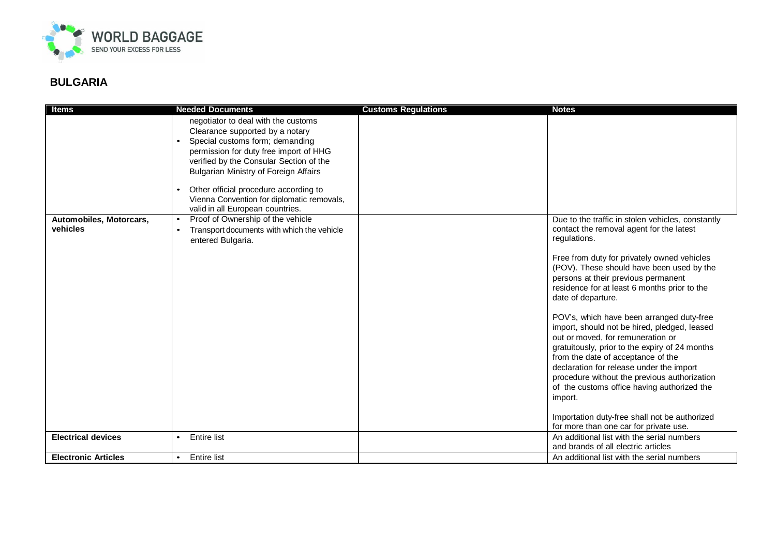

| <b>Items</b>                        | <b>Needed Documents</b>                                                                                                                                                                                                                                                                                                                                         | <b>Customs Regulations</b> | <b>Notes</b>                                                                                                                                                                                                                                                                                                                                                                 |
|-------------------------------------|-----------------------------------------------------------------------------------------------------------------------------------------------------------------------------------------------------------------------------------------------------------------------------------------------------------------------------------------------------------------|----------------------------|------------------------------------------------------------------------------------------------------------------------------------------------------------------------------------------------------------------------------------------------------------------------------------------------------------------------------------------------------------------------------|
|                                     | negotiator to deal with the customs<br>Clearance supported by a notary<br>Special customs form; demanding<br>$\bullet$<br>permission for duty free import of HHG<br>verified by the Consular Section of the<br><b>Bulgarian Ministry of Foreign Affairs</b><br>Other official procedure according to<br>$\bullet$<br>Vienna Convention for diplomatic removals, |                            |                                                                                                                                                                                                                                                                                                                                                                              |
|                                     | valid in all European countries.                                                                                                                                                                                                                                                                                                                                |                            |                                                                                                                                                                                                                                                                                                                                                                              |
| Automobiles, Motorcars,<br>vehicles | Proof of Ownership of the vehicle<br>$\bullet$<br>Transport documents with which the vehicle<br>entered Bulgaria.                                                                                                                                                                                                                                               |                            | Due to the traffic in stolen vehicles, constantly<br>contact the removal agent for the latest<br>regulations.                                                                                                                                                                                                                                                                |
|                                     |                                                                                                                                                                                                                                                                                                                                                                 |                            | Free from duty for privately owned vehicles<br>(POV). These should have been used by the<br>persons at their previous permanent<br>residence for at least 6 months prior to the<br>date of departure.                                                                                                                                                                        |
|                                     |                                                                                                                                                                                                                                                                                                                                                                 |                            | POV's, which have been arranged duty-free<br>import, should not be hired, pledged, leased<br>out or moved, for remuneration or<br>gratuitously, prior to the expiry of 24 months<br>from the date of acceptance of the<br>declaration for release under the import<br>procedure without the previous authorization<br>of the customs office having authorized the<br>import. |
|                                     |                                                                                                                                                                                                                                                                                                                                                                 |                            | Importation duty-free shall not be authorized<br>for more than one car for private use.                                                                                                                                                                                                                                                                                      |
| <b>Electrical devices</b>           | <b>Entire list</b>                                                                                                                                                                                                                                                                                                                                              |                            | An additional list with the serial numbers<br>and brands of all electric articles                                                                                                                                                                                                                                                                                            |
| <b>Electronic Articles</b>          | <b>Entire list</b><br>$\bullet$                                                                                                                                                                                                                                                                                                                                 |                            | An additional list with the serial numbers                                                                                                                                                                                                                                                                                                                                   |